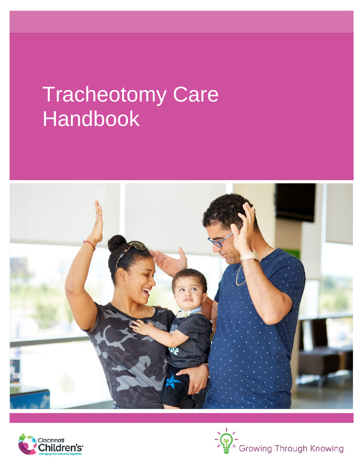# Tracheotomy Care Handbook





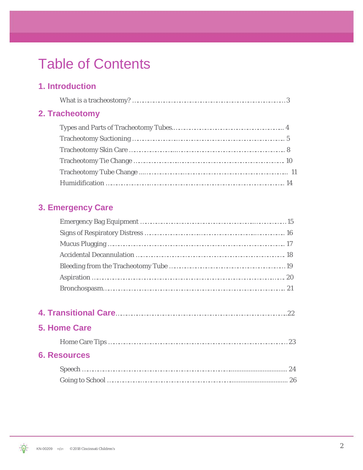# Table of Contents

### **1. Introduction**

| 2. Tracheotomy |  |
|----------------|--|
|                |  |
|                |  |
|                |  |
|                |  |
|                |  |
|                |  |

### **3. Emergency Care**

| 5. Home Care |  |
|--------------|--|
|              |  |

#### **6. Resources**

 $\Theta$ 

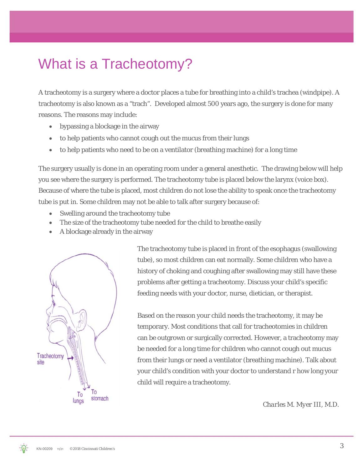# What is a Tracheotomy?

A tracheotomy is a surgery where a doctor places a tube for breathing into a child's trachea (windpipe). A tracheotomy is also known as a "trach". Developed almost 500 years ago, the surgery is done for many reasons. The reasons may include:

- bypassing a blockage in the airway
- to help patients who cannot cough out the mucus from their lungs
- to help patients who need to be on a ventilator (breathing machine) for a long time

The surgery usually is done in an operating room under a general anesthetic. The drawing below will help you see where the surgery is performed. The tracheotomy tube is placed below the larynx (voice box). Because of where the tube is placed, most children do not lose the ability to speak once the tracheotomy tube is put in. Some children may not be able to talk after surgery because of:

- Swelling around the tracheotomy tube
- The size of the tracheotomy tube needed for the child to breathe easily
- A blockage already in the airway



The tracheotomy tube is placed in front of the esophagus (swallowing tube), so most children can eat normally. Some children who have a history of choking and coughing after swallowing may still have these problems after getting a tracheotomy. Discuss your child's specific feeding needs with your doctor, nurse, dietician, or therapist.

Based on the reason your child needs the tracheotomy, it may be temporary. Most conditions that call for tracheotomies in children can be outgrown or surgically corrected. However, a tracheotomy may be needed for a long time for children who cannot cough out mucus from their lungs or need a ventilator (breathing machine). Talk about your child's condition with your doctor to understand r how long your child will require a tracheotomy.

*Charles M. Myer III, M.D.*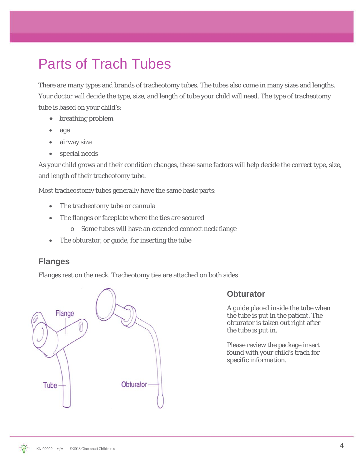# Parts of Trach Tubes

There are many types and brands of tracheotomy tubes. The tubes also come in many sizes and lengths. Your doctor will decide the type, size, and length of tube your child will need. The type of tracheotomy tube is based on your child's:

- breathing problem
- age
- airway size
- special needs

As your child grows and their condition changes, these same factors will help decide the correct type, size, and length of their tracheotomy tube.

Most tracheostomy tubes generally have the same basic parts:

- The tracheotomy tube or cannula
- The flanges or faceplate where the ties are secured
	- o Some tubes will have an extended connect neck flange
- The obturator, or guide, for inserting the tube

### **Flanges**

Flanges rest on the neck. Tracheotomy ties are attached on both sides



#### **Obturator**

A guide placed inside the tube when the tube is put in the patient. The obturator is taken out right after the tube is put in.

Please review the package insert found with your child's trach for specific information.

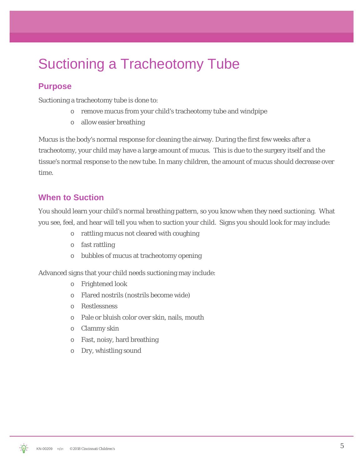# Suctioning a Tracheotomy Tube

### **Purpose**

Suctioning a tracheotomy tube is done to:

- o remove mucus from your child's tracheotomy tube and windpipe
- o allow easier breathing

Mucus is the body's normal response for cleaning the airway. During the first few weeks after a tracheotomy, your child may have a large amount of mucus. This is due to the surgery itself and the tissue's normal response to the new tube. In many children, the amount of mucus should decrease over time.

#### **When to Suction**

You should learn your child's normal breathing pattern, so you know when they need suctioning. What you see, feel, and hear will tell you when to suction your child. Signs you should look for may include:

- o rattling mucus not cleared with coughing
- o fast rattling
- o bubbles of mucus at tracheotomy opening

Advanced signs that your child needs suctioning may include:

- o Frightened look
- o Flared nostrils (nostrils become wide)
- o Restlessness
- o Pale or bluish color over skin, nails, mouth
- o Clammy skin
- o Fast, noisy, hard breathing
- o Dry, whistling sound

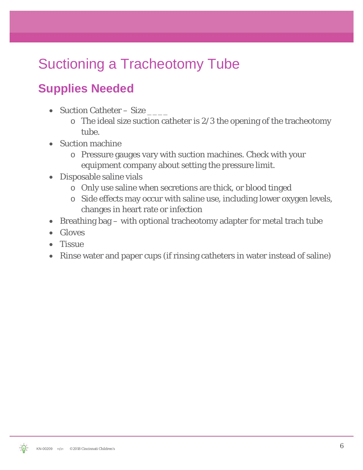# Suctioning a Tracheotomy Tube

# **Supplies Needed**

- Suction Catheter Size
	- $\circ$  The ideal size suction catheter is 2/3 the opening of the tracheotomy tube.
- Suction machine
	- o Pressure gauges vary with suction machines. Check with your equipment company about setting the pressure limit.
- Disposable saline vials
	- o Only use saline when secretions are thick, or blood tinged
	- o Side effects may occur with saline use, including lower oxygen levels, changes in heart rate or infection
- Breathing bag with optional tracheotomy adapter for metal trach tube
- Gloves
- **Tissue**
- Rinse water and paper cups (if rinsing catheters in water instead of saline)

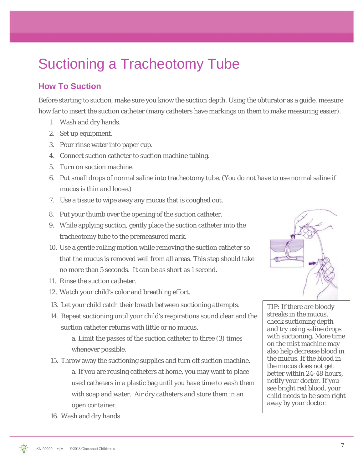# Suctioning a Tracheotomy Tube

### **How To Suction**

Before starting to suction, make sure you know the suction depth. Using the obturator as a guide, measure how far to insert the suction catheter (many catheters have markings on them to make measuring easier).

- 1. Wash and dry hands.
- 2. Set up equipment.
- 3. Pour rinse water into paper cup.
- 4. Connect suction catheter to suction machine tubing.
- 5. Turn on suction machine.
- 6. Put small drops of normal saline into tracheotomy tube. (You do not have to use normal saline if mucus is thin and loose.)
- 7. Use a tissue to wipe away any mucus that is coughed out.
- 8. Put your thumb over the opening of the suction catheter.
- 9. While applying suction, gently place the suction catheter into the tracheotomy tube to the premeasured mark.
- 10. Use a gentle rolling motion while removing the suction catheter so that the mucus is removed well from all areas. This step should take no more than 5 seconds. It can be as short as 1 second.
- 11. Rinse the suction catheter.
- 12. Watch your child's color and breathing effort.
- 13. Let your child catch their breath between suctioning attempts.
- 14. Repeat suctioning until your child's respirations sound clear and the suction catheter returns with little or no mucus.

a. Limit the passes of the suction catheter to three (3) times whenever possible.

- 15. Throw away the suctioning supplies and turn off suction machine. a. If you are reusing catheters at home, you may want to place used catheters in a plastic bag until you have time to wash them with soap and water. Air dry catheters and store them in an open container.
- TIP: If there are bloody streaks in the mucus, check suctioning depth and try using saline drops with suctioning. More time on the mist machine may also help decrease blood in the mucus. If the blood in the mucus does not get better within 24-48 hours, notify your doctor. If you

see bright red blood, your child needs to be seen right

away by your doctor.

16. Wash and dry hands

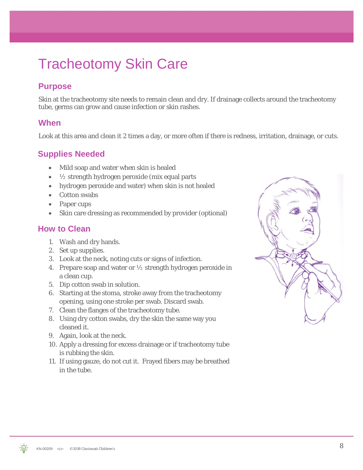# Tracheotomy Skin Care

# **Purpose**

Skin at the tracheotomy site needs to remain clean and dry. If drainage collects around the tracheotomy tube, germs can grow and cause infection or skin rashes.

#### **When**

Look at this area and clean it 2 times a day, or more often if there is redness, irritation, drainage, or cuts.

### **Supplies Needed**

- Mild soap and water when skin is healed
- $\frac{1}{2}$  strength hydrogen peroxide (mix equal parts
- hydrogen peroxide and water) when skin is not healed
- Cotton swabs
- Paper cups
- Skin care dressing as recommended by provider (optional)

#### **How to Clean**

- 1. Wash and dry hands.
- 2. Set up supplies.
- 3. Look at the neck, noting cuts or signs of infection.
- 4. Prepare soap and water or  $\frac{1}{2}$  strength hydrogen peroxide in a clean cup.
- 5. Dip cotton swab in solution.
- 6. Starting at the stoma, stroke away from the tracheotomy opening, using one stroke per swab. Discard swab.
- 7. Clean the flanges of the tracheotomy tube.
- 8. Using dry cotton swabs, dry the skin the same way you cleaned it.
- 9. Again, look at the neck.
- 10. Apply a dressing for excess drainage or if tracheotomy tube is rubbing the skin.
- 11. If using gauze, do not cut it. Frayed fibers may be breathed in the tube.



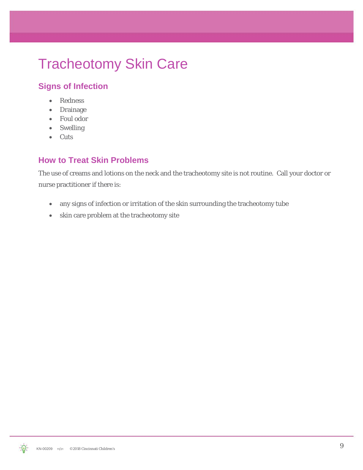# Tracheotomy Skin Care

# **Signs of Infection**

- Redness
- Drainage
- Foul odor
- Swelling
- Cuts

### **How to Treat Skin Problems**

The use of creams and lotions on the neck and the tracheotomy site is not routine. Call your doctor or nurse practitioner if there is:

- any signs of infection or irritation of the skin surrounding the tracheotomy tube
- skin care problem at the tracheotomy site

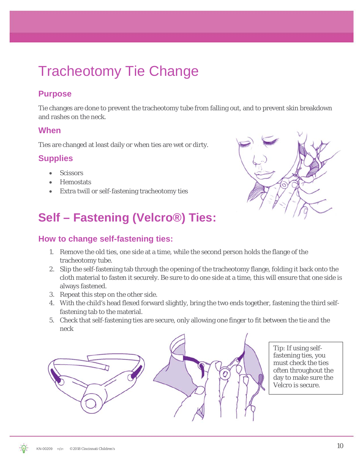# Tracheotomy Tie Change

### **Purpose**

Tie changes are done to prevent the tracheotomy tube from falling out, and to prevent skin breakdown and rashes on the neck.

#### **When**

Ties are changed at least daily or when ties are wet or dirty.

### **Supplies**

- Scissors
- Hemostats
- Extra twill or self-fastening tracheotomy ties

# **Self – Fastening (Velcro®) Ties:**

### **How to change self-fastening ties:**

- 1. Remove the old ties, one side at a time, while the second person holds the flange of the tracheotomy tube.
- 2. Slip the self-fastening tab through the opening of the tracheotomy flange, folding it back onto the cloth material to fasten it securely. Be sure to do one side at a time, this will ensure that one side is always fastened.
- 3. Repeat this step on the other side.
- 4. With the child's head flexed forward slightly, bring the two ends together, fastening the third selffastening tab to the material.
- 5. Check that self-fastening ties are secure, only allowing one finger to fit between the tie and the neck



Tip: If using selffastening ties, you must check the ties often throughout the day to make sure the Velcro is secure.

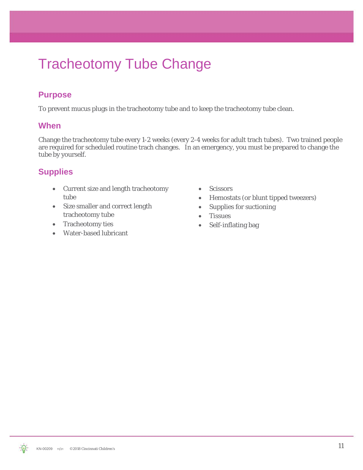# Tracheotomy Tube Change

### **Purpose**

To prevent mucus plugs in the tracheotomy tube and to keep the tracheotomy tube clean.

#### **When**

Change the tracheotomy tube every 1-2 weeks (every 2-4 weeks for adult trach tubes). Two trained people are required for scheduled routine trach changes. In an emergency, you must be prepared to change the tube by yourself.

### **Supplies**

- Current size and length tracheotomy tube
- Size smaller and correct length tracheotomy tube
- Tracheotomy ties
- Water-based lubricant
- Scissors
- Hemostats (or blunt tipped tweezers)
- Supplies for suctioning
- Tissues
- Self-inflating bag

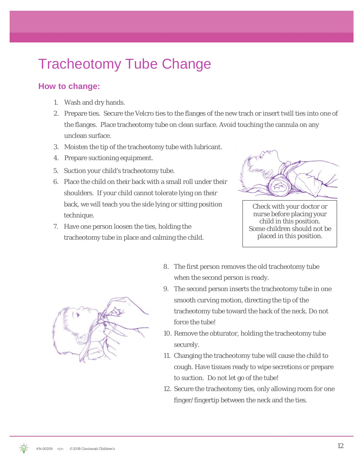# Tracheotomy Tube Change

### **How to change:**

- 1. Wash and dry hands.
- 2. Prepare ties. Secure the Velcro ties to the flanges of the new trach or insert twill ties into one of the flanges. Place tracheotomy tube on clean surface. Avoid touching the cannula on any unclean surface.
- 3. Moisten the tip of the tracheotomy tube with lubricant.
- 4. Prepare suctioning equipment.
- 5. Suction your child's tracheotomy tube.
- 6. Place the child on their back with a small roll under their shoulders. If your child cannot tolerate lying on their back, we will teach you the side lying or sitting position technique.
- 7. Have one person loosen the ties, holding the tracheotomy tube in place and calming the child.



Check with your doctor or nurse before placing your child in this position. Some children should not be placed in this position.



- 8. The first person removes the old tracheotomy tube when the second person is ready.
- 9. The second person inserts the tracheotomy tube in one smooth curving motion, directing the tip of the tracheotomy tube toward the back of the neck. Do not force the tube!
- 10. Remove the obturator, holding the tracheotomy tube securely.
- 11. Changing the tracheotomy tube will cause the child to cough. Have tissues ready to wipe secretions or prepare to suction. Do not let go of the tube!
- 12. Secure the tracheotomy ties, only allowing room for one finger/fingertip between the neck and the ties.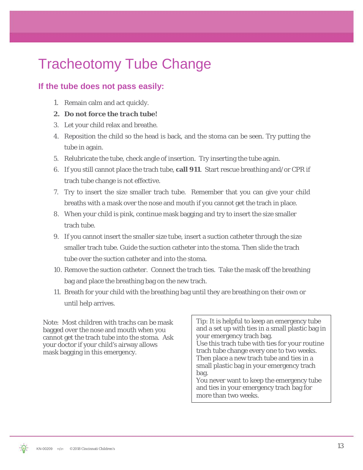# Tracheotomy Tube Change

### **If the tube does not pass easily:**

- 1. Remain calm and act quickly.
- *2. Do not force the trach tube!*
- 3. Let your child relax and breathe.
- 4. Reposition the child so the head is back, and the stoma can be seen. Try putting the tube in again.
- 5. Relubricate the tube, check angle of insertion. Try inserting the tube again.
- 6. If you still cannot place the trach tube, **call 911**. Start rescue breathing and/or CPR if trach tube change is not effective.
- 7. Try to insert the size smaller trach tube. Remember that you can give your child breaths with a mask over the nose and mouth if you cannot get the trach in place.
- 8. When your child is pink, continue mask bagging and try to insert the size smaller trach tube.
- 9. If you cannot insert the smaller size tube, insert a suction catheter through the size smaller trach tube. Guide the suction catheter into the stoma. Then slide the trach tube over the suction catheter and into the stoma.
- 10. Remove the suction catheter. Connect the trach ties. Take the mask off the breathing bag and place the breathing bag on the new trach.
- 11. Breath for your child with the breathing bag until they are breathing on their own or until help arrives.

Note: Most children with trachs can be mask<br>harded such has note and manth when we cannot get the trach tube into the stoma. Ask bagged over the nose and mouth when you your doctor if your child's airway allows mask bagging in this emergency.

Tip: It is helpful to keep an emergency tube and a set up with ties in a small plastic bag in your emergency trach bag. Use this trach tube with ties for your routine

trach tube change every one to two weeks. Then place a new trach tube and ties in a small plastic bag in your emergency trach bag.

You never want to keep the emergency tube and ties in your emergency trach bag for more than two weeks.

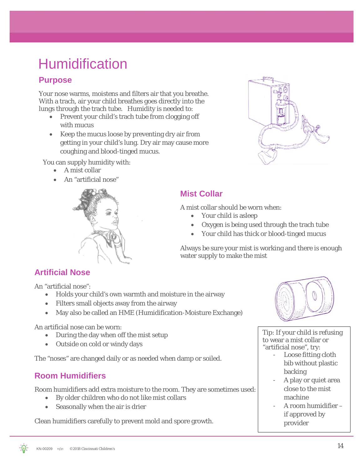# **Humidification**

### **Purpose**

Your nose warms, moistens and filters air that you breathe. With a trach, air your child breathes goes directly into the lungs through the trach tube. Humidity is needed to:

- Prevent your child's trach tube from clogging off with mucus
- Keep the mucus loose by preventing dry air from getting in your child's lung. Dry air may cause more coughing and blood-tinged mucus.

You can supply humidity with:

- A mist collar
- An "artificial nose"





### **Mist Collar**

A mist collar should be worn when:

- Your child is asleep
- Oxygen is being used through the trach tube
- Your child has thick or blood-tinged mucus

Always be sure your mist is working and there is enough water supply to make the mist

### **Artificial Nose**

An "artificial nose":

- Holds your child's own warmth and moisture in the airway
- Filters small objects away from the airway
- May also be called an HME (Humidification-Moisture Exchange)

An artificial nose can be worn:

- During the day when off the mist setup
- Outside on cold or windy days

The "noses" are changed daily or as needed when damp or soiled.

### **Room Humidifiers**

Room humidifiers add extra moisture to the room. They are sometimes used:

- By older children who do not like mist collars
- Seasonally when the air is drier

Clean humidifiers carefully to prevent mold and spore growth.



Tip: If your child is refusing to wear a mist collar or "artificial nose", try:

- Loose fitting cloth bib without plastic backing
- A play or quiet area close to the mist machine
- A room humidifier if approved by provider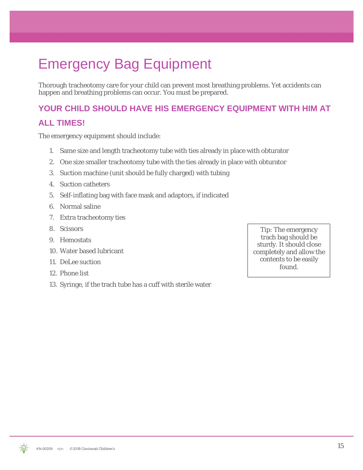# Emergency Bag Equipment

Thorough tracheotomy care for your child can prevent most breathing problems. Yet accidents can happen and breathing problems can occur. You must be prepared.

# **YOUR CHILD SHOULD HAVE HIS EMERGENCY EQUIPMENT WITH HIM AT**

#### **ALL TIMES!**

The emergency equipment should include:

- 1. Same size and length tracheotomy tube with ties already in place with obturator
- 2. One size smaller tracheotomy tube with the ties already in place with obturator
- 3. Suction machine (unit should be fully charged) with tubing
- 4. Suction catheters
- 5. Self-inflating bag with face mask and adaptors, if indicated
- 6. Normal saline
- 7. Extra tracheotomy ties
- 8. Scissors
- 9. Hemostats
- 10. Water based lubricant
- 11. DeLee suction
- 12. Phone list
- 13. Syringe, if the trach tube has a cuff with sterile water

Tip: The emergency trach bag should be sturdy. It should close completely and allow the contents to be easily found.

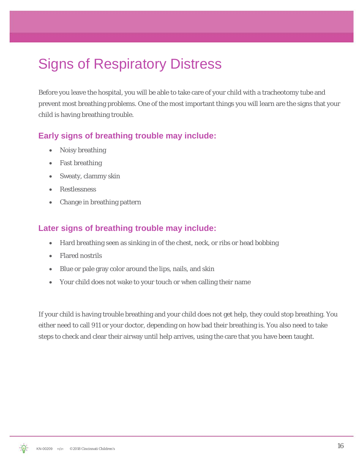# Signs of Respiratory Distress

Before you leave the hospital, you will be able to take care of your child with a tracheotomy tube and prevent most breathing problems. One of the most important things you will learn are the signs that your child is having breathing trouble.

#### **Early signs of breathing trouble may include:**

- Noisy breathing
- Fast breathing
- Sweaty, clammy skin
- **Restlessness**
- Change in breathing pattern

#### **Later signs of breathing trouble may include:**

- Hard breathing seen as sinking in of the chest, neck, or ribs or head bobbing
- Flared nostrils
- Blue or pale gray color around the lips, nails, and skin
- Your child does not wake to your touch or when calling their name

If your child is having trouble breathing and your child does not get help, they could stop breathing. You either need to call 911 or your doctor, depending on how bad their breathing is. You also need to take steps to check and clear their airway until help arrives, using the care that you have been taught.

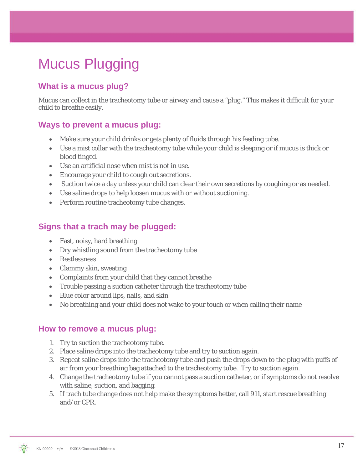# Mucus Plugging

### **What is a mucus plug?**

Mucus can collect in the tracheotomy tube or airway and cause a "plug." This makes it difficult for your child to breathe easily.

#### **Ways to prevent a mucus plug:**

- Make sure your child drinks or gets plenty of fluids through his feeding tube.
- Use a mist collar with the tracheotomy tube while your child is sleeping or if mucus is thick or blood tinged.
- Use an artificial nose when mist is not in use.
- Encourage your child to cough out secretions.
- Suction twice a day unless your child can clear their own secretions by coughing or as needed.
- Use saline drops to help loosen mucus with or without suctioning.
- Perform routine tracheotomy tube changes.

#### **Signs that a trach may be plugged:**

- Fast, noisy, hard breathing
- Dry whistling sound from the tracheotomy tube
- Restlessness
- Clammy skin, sweating
- Complaints from your child that they cannot breathe
- Trouble passing a suction catheter through the tracheotomy tube
- Blue color around lips, nails, and skin
- No breathing and your child does not wake to your touch or when calling their name

#### **How to remove a mucus plug:**

- 1. Try to suction the tracheotomy tube.
- 2. Place saline drops into the tracheotomy tube and try to suction again.
- 3. Repeat saline drops into the tracheotomy tube and push the drops down to the plug with puffs of air from your breathing bag attached to the tracheotomy tube. Try to suction again.
- 4. Change the tracheotomy tube if you cannot pass a suction catheter, or if symptoms do not resolve with saline, suction, and bagging.
- 5. If trach tube change does not help make the symptoms better, call 911, start rescue breathing and/or CPR.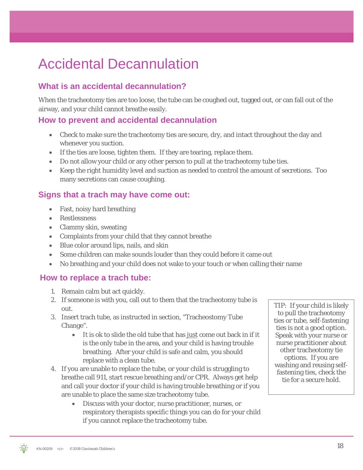# Accidental Decannulation

### **What is an accidental decannulation?**

When the tracheotomy ties are too loose, the tube can be coughed out, tugged out, or can fall out of the airway, and your child cannot breathe easily.

#### **How to prevent and accidental decannulation**

- Check to make sure the tracheotomy ties are secure, dry, and intact throughout the day and whenever you suction.
- If the ties are loose, tighten them. If they are tearing, replace them.
- Do not allow your child or any other person to pull at the tracheotomy tube ties.
- Keep the right humidity level and suction as needed to control the amount of secretions. Too many secretions can cause coughing.

#### **Signs that a trach may have come out:**

- Fast, noisy hard breathing
- Restlessness
- Clammy skin, sweating
- Complaints from your child that they cannot breathe
- Blue color around lips, nails, and skin
- Some children can make sounds louder than they could before it came out
- No breathing and your child does not wake to your touch or when calling their name

#### **How to replace a trach tube:**

- 1. Remain calm but act quickly.
- 2. If someone is with you, call out to them that the tracheotomy tube is out.
- 3. Insert trach tube, as instructed in section, "Tracheostomy Tube Change".
	- It is ok to slide the old tube that has just come out back in if it is the only tube in the area, and your child is having trouble breathing. After your child is safe and calm, you should replace with a clean tube.
- 4. If you are unable to replace the tube, or your child is struggling to breathe call 911, start rescue breathing and/or CPR. Always get help and call your doctor if your child is having trouble breathing or if you are unable to place the same size tracheotomy tube.
	- Discuss with your doctor, nurse practitioner, nurses, or respiratory therapists specific things you can do for your child if you cannot replace the tracheotomy tube.

TIP: If your child is likely to pull the tracheotomy ties or tube, self-fastening ties is not a good option. Speak with your nurse or nurse practitioner about other tracheotomy tie options. If you are washing and reusing selffastening ties, check the tie for a secure hold.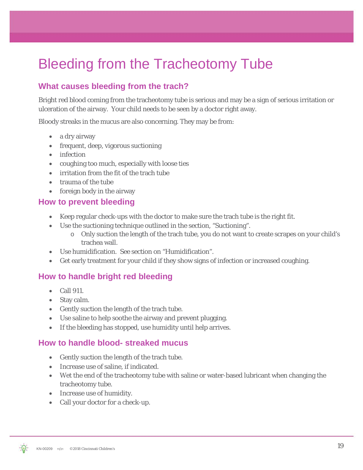# Bleeding from the Tracheotomy Tube

### **What causes bleeding from the trach?**

Bright red blood coming from the tracheotomy tube is serious and may be a sign of serious irritation or ulceration of the airway. Your child needs to be seen by a doctor right away.

Bloody streaks in the mucus are also concerning. They may be from:

- a dry airway
- frequent, deep, vigorous suctioning
- infection
- coughing too much, especially with loose ties
- irritation from the fit of the trach tube
- trauma of the tube
- foreign body in the airway

#### **How to prevent bleeding**

- Keep regular check-ups with the doctor to make sure the trach tube is the right fit.
- Use the suctioning technique outlined in the section, "Suctioning".
	- o Only suction the length of the trach tube, you do not want to create scrapes on your child's trachea wall.
- Use humidification. See section on "Humidification".
- Get early treatment for your child if they show signs of infection or increased coughing.

#### **How to handle bright red bleeding**

- Call 911.
- Stay calm.
- Gently suction the length of the trach tube.
- Use saline to help soothe the airway and prevent plugging.
- If the bleeding has stopped, use humidity until help arrives.

#### **How to handle blood- streaked mucus**

- Gently suction the length of the trach tube.
- Increase use of saline, if indicated.
- Wet the end of the tracheotomy tube with saline or water-based lubricant when changing the tracheotomy tube.
- Increase use of humidity.
- Call your doctor for a check-up.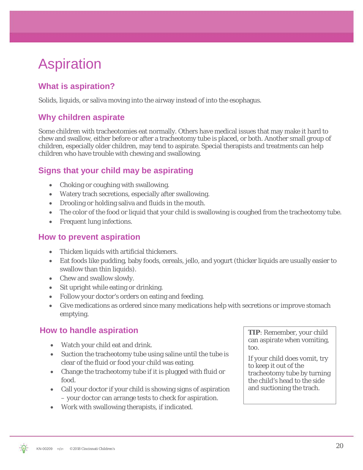# Aspiration

# **What is aspiration?**

Solids, liquids, or saliva moving into the airway instead of into the esophagus.

### **Why children aspirate**

Some children with tracheotomies eat normally. Others have medical issues that may make it hard to chew and swallow, either before or after a tracheotomy tube is placed, or both. Another small group of children, especially older children, may tend to aspirate. Special therapists and treatments can help children who have trouble with chewing and swallowing.

### **Signs that your child may be aspirating**

- Choking or coughing with swallowing.
- Watery trach secretions, especially after swallowing.
- Drooling or holding saliva and fluids in the mouth.
- The color of the food or liquid that your child is swallowing is coughed from the tracheotomy tube.
- Frequent lung infections.

#### **How to prevent aspiration**

- Thicken liquids with artificial thickeners.
- Eat foods like pudding, baby foods, cereals, jello, and yogurt (thicker liquids are usually easier to swallow than thin liquids).
- Chew and swallow slowly.
- Sit upright while eating or drinking.
- Follow your doctor's orders on eating and feeding.
- Give medications as ordered since many medications help with secretions or improve stomach emptying.

### **How to handle aspiration**

- Watch your child eat and drink.
- Suction the tracheotomy tube using saline until the tube is clear of the fluid or food your child was eating.
- Change the tracheotomy tube if it is plugged with fluid or food.
- Call your doctor if your child is showing signs of aspiration – your doctor can arrange tests to check for aspiration.
- Work with swallowing therapists, if indicated.

**TIP**: Remember, your child can aspirate when vomiting, too.

If your child does vomit, try to keep it out of the tracheotomy tube by turning the child's head to the side and suctioning the trach.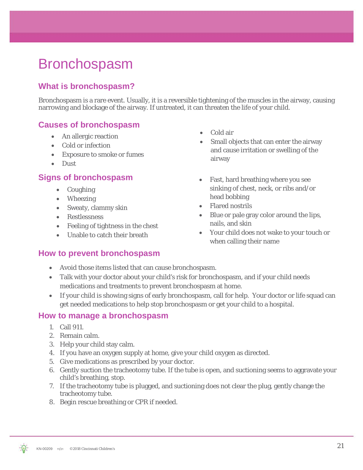# Bronchospasm

### **What is bronchospasm?**

Bronchospasm is a rare event. Usually, it is a reversible tightening of the muscles in the airway, causing narrowing and blockage of the airway. If untreated, it can threaten the life of your child.

#### **Causes of bronchospasm**

- An allergic reaction
- Cold or infection
- Exposure to smoke or fumes
- Dust

#### **Signs of bronchospasm**

- Coughing
- Wheezing
- Sweaty, clammy skin
- Restlessness
- Feeling of tightness in the chest
- Unable to catch their breath

#### **How to prevent bronchospasm**

- Cold air
- Small objects that can enter the airway and cause irritation or swelling of the airway
- Fast, hard breathing where you see sinking of chest, neck, or ribs and/or head bobbing
- Flared nostrils
- Blue or pale gray color around the lips, nails, and skin
- Your child does not wake to your touch or when calling their name
- Avoid those items listed that can cause bronchospasm.
- Talk with your doctor about your child's risk for bronchospasm, and if your child needs medications and treatments to prevent bronchospasm at home.
- If your child is showing signs of early bronchospasm, call for help. Your doctor or life squad can get needed medications to help stop bronchospasm or get your child to a hospital.

#### **How to manage a bronchospasm**

- 1. Call 911.
- 2. Remain calm.
- 3. Help your child stay calm.
- 4. If you have an oxygen supply at home, give your child oxygen as directed.
- 5. Give medications as prescribed by your doctor.
- 6. Gently suction the tracheotomy tube. If the tube is open, and suctioning seems to aggravate your child's breathing, stop.
- 7. If the tracheotomy tube is plugged, and suctioning does not clear the plug, gently change the tracheotomy tube.
- 8. Begin rescue breathing or CPR if needed.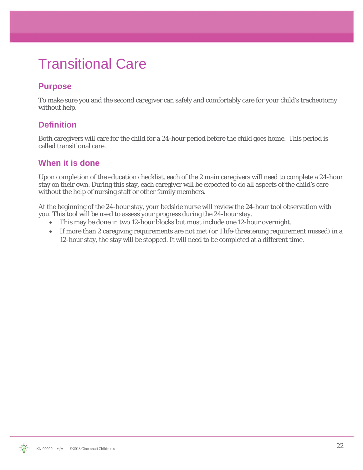# Transitional Care

# **Purpose**

To make sure you and the second caregiver can safely and comfortably care for your child's tracheotomy without help.

### **Definition**

Both caregivers will care for the child for a 24-hour period before the child goes home. This period is called transitional care.

#### **When it is done**

Upon completion of the education checklist, each of the 2 main caregivers will need to complete a 24-hour stay on their own. During this stay, each caregiver will be expected to do all aspects of the child's care without the help of nursing staff or other family members.

At the beginning of the 24-hour stay, your bedside nurse will review the 24-hour tool observation with you. This tool will be used to assess your progress during the 24-hour stay.

- This may be done in two 12-hour blocks but must include one 12-hour overnight.
- If more than 2 caregiving requirements are not met (or 1 life-threatening requirement missed) in a 12-hour stay, the stay will be stopped. It will need to be completed at a different time.

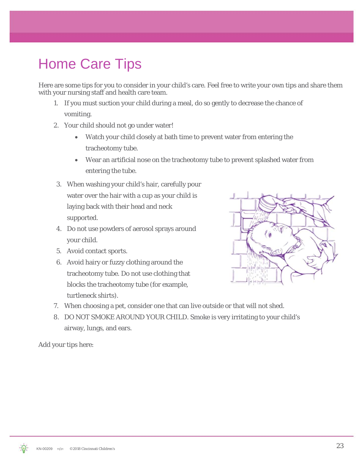# Home Care Tips

Here are some tips for you to consider in your child's care. Feel free to write your own tips and share them with your nursing staff and health care team.

- 1. If you must suction your child during a meal, do so gently to decrease the chance of vomiting.
- 2. Your child should not go under water!
	- Watch your child closely at bath time to prevent water from entering the tracheotomy tube.
	- Wear an artificial nose on the tracheotomy tube to prevent splashed water from entering the tube.
- 3. When washing your child's hair, carefully pour water over the hair with a cup as your child is laying back with their head and neck supported.
- 4. Do not use powders of aerosol sprays around your child.
- 5. Avoid contact sports.
- 6. Avoid hairy or fuzzy clothing around the tracheotomy tube. Do not use clothing that blocks the tracheotomy tube (for example, turtleneck shirts).



- 7. When choosing a pet, consider one that can live outside or that will not shed.
- 8. DO NOT SMOKE AROUND YOUR CHILD. Smoke is very irritating to your child's airway, lungs, and ears.

Add your tips here:

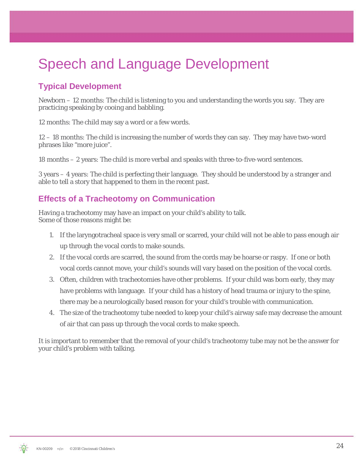# Speech and Language Development

# **Typical Development**

Newborn – 12 months: The child is listening to you and understanding the words you say. They are practicing speaking by cooing and babbling.

12 months: The child may say a word or a few words.

12 – 18 months: The child is increasing the number of words they can say. They may have two-word phrases like "more juice".

18 months – 2 years: The child is more verbal and speaks with three-to-five-word sentences.

3 years – 4 years: The child is perfecting their language. They should be understood by a stranger and able to tell a story that happened to them in the recent past.

### **Effects of a Tracheotomy on Communication**

Having a tracheotomy may have an impact on your child's ability to talk. Some of those reasons might be:

- 1. If the laryngotracheal space is very small or scarred, your child will not be able to pass enough air up through the vocal cords to make sounds.
- 2. If the vocal cords are scarred, the sound from the cords may be hoarse or raspy. If one or both vocal cords cannot move, your child's sounds will vary based on the position of the vocal cords.
- 3. Often, children with tracheotomies have other problems. If your child was born early, they may have problems with language. If your child has a history of head trauma or injury to the spine, there may be a neurologically based reason for your child's trouble with communication.
- 4. The size of the tracheotomy tube needed to keep your child's airway safe may decrease the amount of air that can pass up through the vocal cords to make speech.

It is important to remember that the removal of your child's tracheotomy tube may not be the answer for your child's problem with talking.

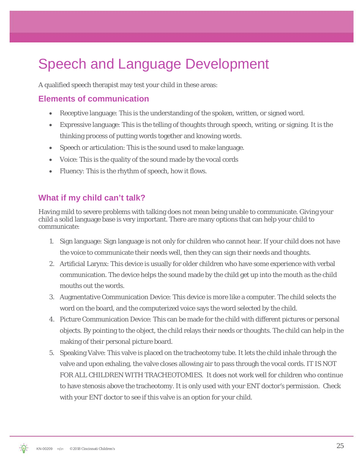# Speech and Language Development

A qualified speech therapist may test your child in these areas:

#### **Elements of communication**

- Receptive language: This is the understanding of the spoken, written, or signed word.
- Expressive language: This is the telling of thoughts through speech, writing, or signing. It is the thinking process of putting words together and knowing words.
- Speech or articulation: This is the sound used to make language.
- Voice: This is the quality of the sound made by the vocal cords
- Fluency: This is the rhythm of speech, how it flows.

#### **What if my child can't talk?**

Having mild to severe problems with talking does not mean being unable to communicate. Giving your child a solid language base is very important. There are many options that can help your child to communicate:

- 1. Sign language: Sign language is not only for children who cannot hear. If your child does not have the voice to communicate their needs well, then they can sign their needs and thoughts.
- 2. Artificial Larynx: This device is usually for older children who have some experience with verbal communication. The device helps the sound made by the child get up into the mouth as the child mouths out the words.
- 3. Augmentative Communication Device: This device is more like a computer. The child selects the word on the board, and the computerized voice says the word selected by the child.
- 4. Picture Communication Device: This can be made for the child with different pictures or personal objects. By pointing to the object, the child relays their needs or thoughts. The child can help in the making of their personal picture board.
- 5. Speaking Valve: This valve is placed on the tracheotomy tube. It lets the child inhale through the valve and upon exhaling, the valve closes allowing air to pass through the vocal cords. IT IS NOT FOR ALL CHILDREN WITH TRACHEOTOMIES. It does not work well for children who continue to have stenosis above the tracheotomy. It is only used with your ENT doctor's permission. Check with your ENT doctor to see if this valve is an option for your child.